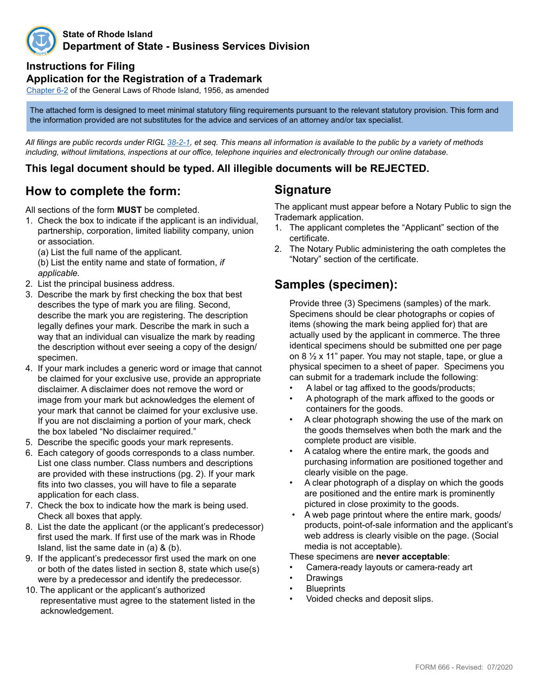

#### **State of Rhode Island Department of State - Business Services Division**

## **Instructions for Filing**

#### **Application for the Registration of a Trademark**

Chapte[r 6](http://webserver.rilin.state.ri.us/Statutes/TITLE6/6-2/INDEX.HTM)-2 of the General Laws of Rhode Island, 1956, as amended

The attached form is designed to meet minimal statutory filing requirements pursuant to the relevant statutory provision. This form and the information provided are not substitutes for the advice and services of an attorney and/or tax specialist.

*All filings are public records under RIGL [38-2-1](http://webserver.rilin.state.ri.us/Statutes/TITLE38/38-2/38-2-1.HTM), et seq. This means all information is available to the public by a variety of methods including, without limitations, inspections at our office, telephone inquiries and electronically through our online database.*

## **This legal document should be typed. All illegible documents will be REJECTED.**

# **How to complete the form:**

All sections of the form **MUST** be completed.

1. Check the box to indicate if the applicant is an individual, partnership, corporation, limited liability company, union or association.

 (a) List the full name of the applicant. (b) List the entity name and state of formation, *if applicable.*

- 2. List the principal business address.
- 3. Describe the mark by first checking the box that best describes the type of mark you are filing. Second, describe the mark you are registering. The description legally defines your mark. Describe the mark in such a way that an individual can visualize the mark by reading the description without ever seeing a copy of the design/ specimen.
- 4. If your mark includes a generic word or image that cannot be claimed for your exclusive use, provide an appropriate disclaimer. A disclaimer does not remove the word or image from your mark but acknowledges the element of your mark that cannot be claimed for your exclusive use. If you are not disclaiming a portion of your mark, check the box labeled "No disclaimer required."
- 5. Describe the specific goods your mark represents.
- 6. Each category of goods corresponds to a class number. List one class number. Class numbers and descriptions are provided with these instructions (pg. 2). If your mark fits into two classes, you will have to file a separate application for each class.
- 7. Check the box to indicate how the mark is being used. Check all boxes that apply.
- 8. List the date the applicant (or the applicant's predecessor) first used the mark. If first use of the mark was in Rhode Island, list the same date in (a) & (b).
- 9. If the applicant's predecessor first used the mark on one or both of the dates listed in section 8, state which use(s) were by a predecessor and identify the predecessor.
- 10. The applicant or the applicant's authorized representative must agree to the statement listed in the acknowledgement.

## **Signature**

The applicant must appear before a Notary Public to sign the Trademark application.

- 1. The applicant completes the "Applicant" section of the certificate.
- 2. The Notary Public administering the oath completes the "Notary" section of the certificate.

# **Samples (specimen):**

Provide three (3) Specimens (samples) of the mark. Specimens should be clear photographs or copies of items (showing the mark being applied for) that are actually used by the applicant in commerce. The three identical specimens should be submitted one per page on 8 ½ x 11" paper. You may not staple, tape, or glue a physical specimen to a sheet of paper. Specimens you can submit for a trademark include the following:

- A label or tag affixed to the goods/products;
- A photograph of the mark affixed to the goods or containers for the goods.
- A clear photograph showing the use of the mark on the goods themselves when both the mark and the complete product are visible.
- A catalog where the entire mark, the goods and purchasing information are positioned together and clearly visible on the page.
- A clear photograph of a display on which the goods are positioned and the entire mark is prominently pictured in close proximity to the goods.
- A web page printout where the entire mark, goods/ products, point-of-sale information and the applicant's web address is clearly visible on the page. (Social media is not acceptable).
- These specimens are **never acceptable**:
- Camera-ready layouts or camera-ready art
- **Drawings**
- **Blueprints**
- Voided checks and deposit slips.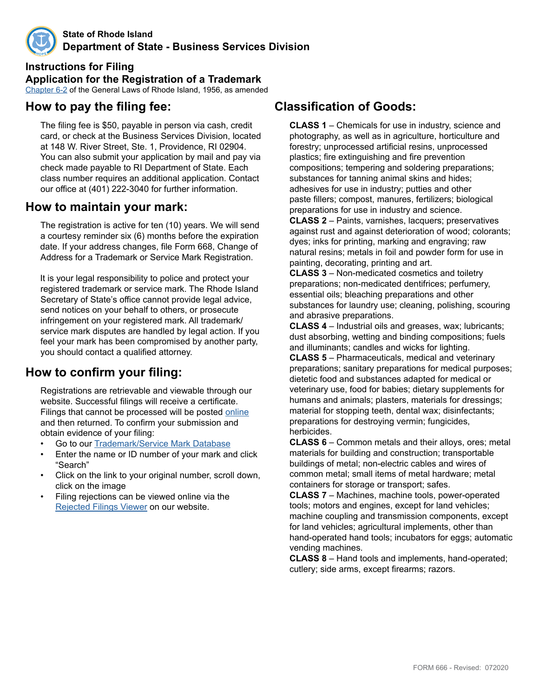

**State of Rhode Island Department of State - Business Services Division**

**Instructions for Filing Application for the Registration of a Trademark** Chapte[r 6](http://webserver.rilin.state.ri.us/Statutes/TITLE6/6-2/INDEX.HTM)-2 of the General Laws of Rhode Island, 1956, as amended

# **How to pay the filing fee:**

The filing fee is \$50, payable in person via cash, credit card, or check at the Business Services Division, located at 148 W. River Street, Ste. 1, Providence, RI 02904. You can also submit your application by mail and pay via check made payable to RI Department of State. Each class number requires an additional application. Contact our office at (401) 222-3040 for further information.

## **How to maintain your mark:**

The registration is active for ten (10) years. We will send a courtesy reminder six (6) months before the expiration date. If your address changes, file Form 668, Change of Address for a Trademark or Service Mark Registration.

 It is your legal responsibility to police and protect your registered trademark or service mark. The Rhode Island Secretary of State's office cannot provide legal advice, send notices on your behalf to others, or prosecute infringement on your registered mark. All trademark/ service mark disputes are handled by legal action. If you feel your mark has been compromised by another party, you should contact a qualified attorney.

# **How to confirm your filing:**

Registrations are retrievable and viewable through our website. Successful filings will receive a certificate. Filings that cannot be processed will be posted [online](http://business.sos.ri.gov/corpreject/corprejectionslist.asp) and then returned. To confirm your submission and obtain evidence of your filing:

- Go to our Trademark/Service Mark [Database](http://business.sos.ri.gov/corpweb/TrademarkSearch/TrademarkSearch.aspx)
- Enter the name or ID number of your mark and click "Search"
- Click on the link to your original number, scroll down, click on the image
- Filing rejections can be viewed online via the [Rejected Filings Viewer](http://business.sos.ri.gov/corpreject/corprejectionslist.asp) on our website.

## **Classification of Goods:**

**CLASS 1** – Chemicals for use in industry, science and photography, as well as in agriculture, horticulture and forestry; unprocessed artificial resins, unprocessed plastics; fire extinguishing and fire prevention compositions; tempering and soldering preparations; substances for tanning animal skins and hides; adhesives for use in industry; putties and other paste fillers; compost, manures, fertilizers; biological preparations for use in industry and science.

**CLASS 2** – Paints, varnishes, lacquers; preservatives against rust and against deterioration of wood; colorants; dyes; inks for printing, marking and engraving; raw natural resins; metals in foil and powder form for use in painting, decorating, printing and art.

**CLASS 3** – Non-medicated cosmetics and toiletry preparations; non-medicated dentifrices; perfumery, essential oils; bleaching preparations and other substances for laundry use; cleaning, polishing, scouring and abrasive preparations.

**CLASS 4** – Industrial oils and greases, wax; lubricants; dust absorbing, wetting and binding compositions; fuels and illuminants; candles and wicks for lighting.

**CLASS 5** – Pharmaceuticals, medical and veterinary preparations; sanitary preparations for medical purposes; dietetic food and substances adapted for medical or veterinary use, food for babies; dietary supplements for humans and animals; plasters, materials for dressings; material for stopping teeth, dental wax; disinfectants; preparations for destroying vermin; fungicides, herbicides.

**CLASS 6** – Common metals and their alloys, ores; metal materials for building and construction; transportable buildings of metal; non-electric cables and wires of common metal; small items of metal hardware; metal containers for storage or transport; safes.

**CLASS 7** – Machines, machine tools, power-operated tools; motors and engines, except for land vehicles; machine coupling and transmission components, except for land vehicles; agricultural implements, other than hand-operated hand tools; incubators for eggs; automatic vending machines.

**CLASS 8** – Hand tools and implements, hand-operated; cutlery; side arms, except firearms; razors.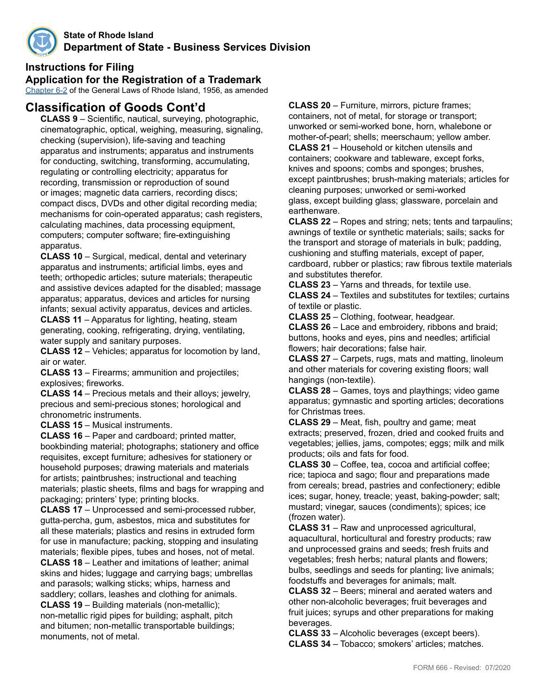

## **Instructions for Filing**

**Application for the Registration of a Trademark**

Chapte[r 6](http://webserver.rilin.state.ri.us/Statutes/TITLE6/6-2/INDEX.HTM)-2 of the General Laws of Rhode Island, 1956, as amended

# **Classification of Goods Cont'd**

**CLASS 9** – Scientific, nautical, surveying, photographic, cinematographic, optical, weighing, measuring, signaling, checking (supervision), life-saving and teaching apparatus and instruments; apparatus and instruments for conducting, switching, transforming, accumulating, regulating or controlling electricity; apparatus for recording, transmission or reproduction of sound or images; magnetic data carriers, recording discs; compact discs, DVDs and other digital recording media; mechanisms for coin-operated apparatus; cash registers, calculating machines, data processing equipment, computers; computer software; fire-extinguishing apparatus.

**CLASS 10** – Surgical, medical, dental and veterinary apparatus and instruments; artificial limbs, eyes and teeth; orthopedic articles; suture materials; therapeutic and assistive devices adapted for the disabled; massage apparatus; apparatus, devices and articles for nursing infants; sexual activity apparatus, devices and articles.

**CLASS 11** – Apparatus for lighting, heating, steam generating, cooking, refrigerating, drying, ventilating, water supply and sanitary purposes.

**CLASS 12** – Vehicles; apparatus for locomotion by land, air or water.

**CLASS 13** – Firearms; ammunition and projectiles; explosives; fireworks.

**CLASS 14** – Precious metals and their alloys; jewelry, precious and semi-precious stones; horological and chronometric instruments.

**CLASS 15** – Musical instruments.

**CLASS 16** – Paper and cardboard; printed matter, bookbinding material; photographs; stationery and office requisites, except furniture; adhesives for stationery or household purposes; drawing materials and materials for artists; paintbrushes; instructional and teaching materials; plastic sheets, films and bags for wrapping and packaging; printers' type; printing blocks.

**CLASS 17** – Unprocessed and semi-processed rubber, gutta-percha, gum, asbestos, mica and substitutes for all these materials; plastics and resins in extruded form for use in manufacture; packing, stopping and insulating materials; flexible pipes, tubes and hoses, not of metal. **CLASS 18** – Leather and imitations of leather; animal skins and hides; luggage and carrying bags; umbrellas and parasols; walking sticks; whips, harness and saddlery; collars, leashes and clothing for animals. **CLASS 19** – Building materials (non-metallic); non-metallic rigid pipes for building; asphalt, pitch and bitumen; non-metallic transportable buildings; monuments, not of metal.

**CLASS 20** – Furniture, mirrors, picture frames; containers, not of metal, for storage or transport; unworked or semi-worked bone, horn, whalebone or mother-of-pearl; shells; meerschaum; yellow amber. **CLASS 21** – Household or kitchen utensils and containers; cookware and tableware, except forks, knives and spoons; combs and sponges; brushes, except paintbrushes; brush-making materials; articles for cleaning purposes; unworked or semi-worked glass, except building glass; glassware, porcelain and earthenware.

**CLASS 22** – Ropes and string; nets; tents and tarpaulins; awnings of textile or synthetic materials; sails; sacks for the transport and storage of materials in bulk; padding, cushioning and stuffing materials, except of paper, cardboard, rubber or plastics; raw fibrous textile materials and substitutes therefor.

**CLASS 23** – Yarns and threads, for textile use.

**CLASS 24** – Textiles and substitutes for textiles; curtains of textile or plastic.

**CLASS 25** – Clothing, footwear, headgear.

**CLASS 26** – Lace and embroidery, ribbons and braid; buttons, hooks and eyes, pins and needles; artificial flowers; hair decorations; false hair.

**CLASS 27** – Carpets, rugs, mats and matting, linoleum and other materials for covering existing floors; wall hangings (non-textile).

**CLASS 28** – Games, toys and playthings; video game apparatus; gymnastic and sporting articles; decorations for Christmas trees.

**CLASS 29** – Meat, fish, poultry and game; meat extracts; preserved, frozen, dried and cooked fruits and vegetables; jellies, jams, compotes; eggs; milk and milk products; oils and fats for food.

**CLASS 30** – Coffee, tea, cocoa and artificial coffee; rice; tapioca and sago; flour and preparations made from cereals; bread, pastries and confectionery; edible ices; sugar, honey, treacle; yeast, baking-powder; salt; mustard; vinegar, sauces (condiments); spices; ice (frozen water).

**CLASS 31** – Raw and unprocessed agricultural, aquacultural, horticultural and forestry products; raw and unprocessed grains and seeds; fresh fruits and vegetables; fresh herbs; natural plants and flowers; bulbs, seedlings and seeds for planting; live animals; foodstuffs and beverages for animals; malt.

**CLASS 32** – Beers; mineral and aerated waters and other non-alcoholic beverages; fruit beverages and fruit juices; syrups and other preparations for making beverages.

**CLASS 33** – Alcoholic beverages (except beers). **CLASS 34** – Tobacco; smokers' articles; matches.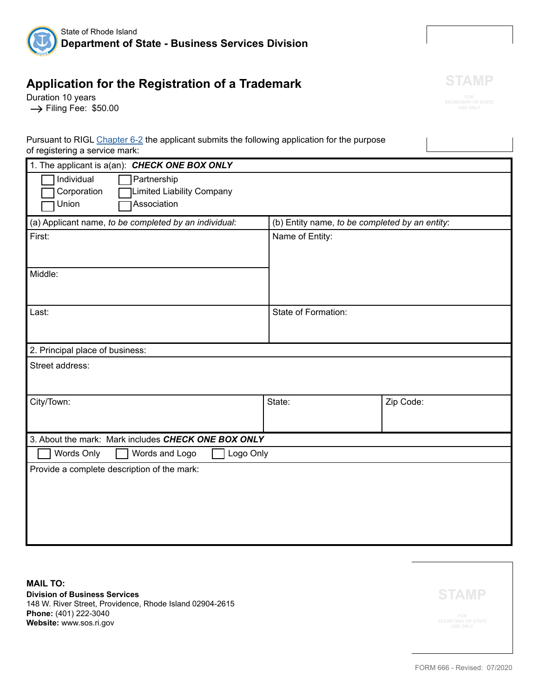

# **Application for the Registration of a Trademark**

Duration 10 years  $\rightarrow$  Filing Fee: \$50.00



| Pursuant to RIGL Chapter 6-2 the applicant submits the following application for the purpose |  |
|----------------------------------------------------------------------------------------------|--|
| of registering a service mark:                                                               |  |
|                                                                                              |  |

| 1. The applicant is a(an): CHECK ONE BOX ONLY         |                                                |           |  |  |  |
|-------------------------------------------------------|------------------------------------------------|-----------|--|--|--|
| Individual<br>Partnership                             |                                                |           |  |  |  |
| <b>Limited Liability Company</b><br>Corporation       |                                                |           |  |  |  |
| Association<br>Union                                  |                                                |           |  |  |  |
| (a) Applicant name, to be completed by an individual: | (b) Entity name, to be completed by an entity: |           |  |  |  |
| First:                                                | Name of Entity:                                |           |  |  |  |
|                                                       |                                                |           |  |  |  |
| Middle:                                               |                                                |           |  |  |  |
|                                                       |                                                |           |  |  |  |
|                                                       |                                                |           |  |  |  |
| Last:                                                 | State of Formation:                            |           |  |  |  |
|                                                       |                                                |           |  |  |  |
|                                                       |                                                |           |  |  |  |
| 2. Principal place of business:                       |                                                |           |  |  |  |
| Street address:                                       |                                                |           |  |  |  |
|                                                       |                                                |           |  |  |  |
| City/Town:                                            | State:                                         | Zip Code: |  |  |  |
|                                                       |                                                |           |  |  |  |
| 3. About the mark: Mark includes CHECK ONE BOX ONLY   |                                                |           |  |  |  |
| Words Only<br>Logo Only<br>Words and Logo             |                                                |           |  |  |  |
| Provide a complete description of the mark:           |                                                |           |  |  |  |
|                                                       |                                                |           |  |  |  |
|                                                       |                                                |           |  |  |  |
|                                                       |                                                |           |  |  |  |
|                                                       |                                                |           |  |  |  |
|                                                       |                                                |           |  |  |  |

**MAIL TO: Division of Business Services** 148 W. River Street, Providence, Rhode Island 02904-2615 **Phone:** (401) 222-3040 **Website:** www.sos.ri.gov

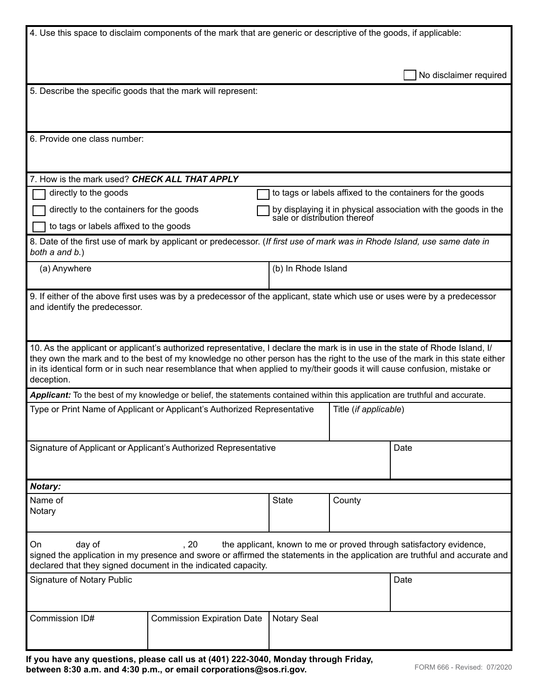|                                                                                                                                                                                                                                                                                                                                                                                                        | 4. Use this space to disclaim components of the mark that are generic or descriptive of the goods, if applicable:             |                    |                       |                                                                                                |  |  |  |
|--------------------------------------------------------------------------------------------------------------------------------------------------------------------------------------------------------------------------------------------------------------------------------------------------------------------------------------------------------------------------------------------------------|-------------------------------------------------------------------------------------------------------------------------------|--------------------|-----------------------|------------------------------------------------------------------------------------------------|--|--|--|
|                                                                                                                                                                                                                                                                                                                                                                                                        |                                                                                                                               |                    |                       |                                                                                                |  |  |  |
|                                                                                                                                                                                                                                                                                                                                                                                                        |                                                                                                                               |                    |                       | No disclaimer required                                                                         |  |  |  |
| 5. Describe the specific goods that the mark will represent:                                                                                                                                                                                                                                                                                                                                           |                                                                                                                               |                    |                       |                                                                                                |  |  |  |
|                                                                                                                                                                                                                                                                                                                                                                                                        |                                                                                                                               |                    |                       |                                                                                                |  |  |  |
| 6. Provide one class number:                                                                                                                                                                                                                                                                                                                                                                           |                                                                                                                               |                    |                       |                                                                                                |  |  |  |
|                                                                                                                                                                                                                                                                                                                                                                                                        |                                                                                                                               |                    |                       |                                                                                                |  |  |  |
| 7. How is the mark used? CHECK ALL THAT APPLY                                                                                                                                                                                                                                                                                                                                                          |                                                                                                                               |                    |                       |                                                                                                |  |  |  |
| directly to the goods                                                                                                                                                                                                                                                                                                                                                                                  |                                                                                                                               |                    |                       | to tags or labels affixed to the containers for the goods                                      |  |  |  |
| directly to the containers for the goods                                                                                                                                                                                                                                                                                                                                                               |                                                                                                                               |                    |                       | by displaying it in physical association with the goods in the<br>sale or distribution thereof |  |  |  |
| to tags or labels affixed to the goods                                                                                                                                                                                                                                                                                                                                                                 |                                                                                                                               |                    |                       |                                                                                                |  |  |  |
| 8. Date of the first use of mark by applicant or predecessor. (If first use of mark was in Rhode Island, use same date in<br>both a and b.)                                                                                                                                                                                                                                                            |                                                                                                                               |                    |                       |                                                                                                |  |  |  |
| (a) Anywhere                                                                                                                                                                                                                                                                                                                                                                                           |                                                                                                                               |                    | (b) In Rhode Island   |                                                                                                |  |  |  |
| 9. If either of the above first uses was by a predecessor of the applicant, state which use or uses were by a predecessor<br>and identify the predecessor.                                                                                                                                                                                                                                             |                                                                                                                               |                    |                       |                                                                                                |  |  |  |
| 10. As the applicant or applicant's authorized representative, I declare the mark is in use in the state of Rhode Island, I/<br>they own the mark and to the best of my knowledge no other person has the right to the use of the mark in this state either<br>in its identical form or in such near resemblance that when applied to my/their goods it will cause confusion, mistake or<br>deception. |                                                                                                                               |                    |                       |                                                                                                |  |  |  |
|                                                                                                                                                                                                                                                                                                                                                                                                        | Applicant: To the best of my knowledge or belief, the statements contained within this application are truthful and accurate. |                    |                       |                                                                                                |  |  |  |
| Type or Print Name of Applicant or Applicant's Authorized Representative                                                                                                                                                                                                                                                                                                                               |                                                                                                                               |                    | Title (if applicable) |                                                                                                |  |  |  |
| Signature of Applicant or Applicant's Authorized Representative                                                                                                                                                                                                                                                                                                                                        |                                                                                                                               |                    | Date                  |                                                                                                |  |  |  |
| Notary:                                                                                                                                                                                                                                                                                                                                                                                                |                                                                                                                               |                    |                       |                                                                                                |  |  |  |
| Name of<br>Notary                                                                                                                                                                                                                                                                                                                                                                                      |                                                                                                                               | <b>State</b>       | County                |                                                                                                |  |  |  |
| day of<br>.20<br>the applicant, known to me or proved through satisfactory evidence,<br>On<br>signed the application in my presence and swore or affirmed the statements in the application are truthful and accurate and<br>declared that they signed document in the indicated capacity.                                                                                                             |                                                                                                                               |                    |                       |                                                                                                |  |  |  |
| <b>Signature of Notary Public</b>                                                                                                                                                                                                                                                                                                                                                                      |                                                                                                                               |                    |                       | Date                                                                                           |  |  |  |
| Commission ID#                                                                                                                                                                                                                                                                                                                                                                                         | <b>Commission Expiration Date</b>                                                                                             | <b>Notary Seal</b> |                       |                                                                                                |  |  |  |